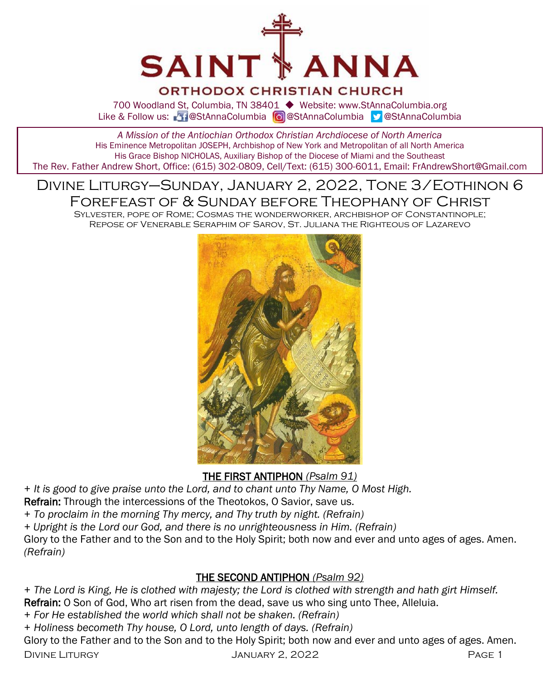

# ORTHODOX CHRISTIAN CHURCH

700 Woodland St, Columbia, TN 38401 ◆ Website: www.StAnnaColumbia.org Like & Follow us: 20 @StAnnaColumbia **@**StAnnaColumbia **@StAnnaColumbia** 

*A Mission of the Antiochian Orthodox Christian Archdiocese of North America* His Eminence Metropolitan JOSEPH, Archbishop of New York and Metropolitan of all North America His Grace Bishop NICHOLAS, Auxiliary Bishop of the Diocese of Miami and the Southeast The Rev. Father Andrew Short, Office: (615) 302-0809, Cell/Text: (615) 300-6011, Email: FrAndrewShort@Gmail.com

# Divine Liturgy–Sunday, January 2, 2022, Tone 3/Eothinon 6 Forefeast of & Sunday before Theophany of Christ

Sylvester, pope of Rome; Cosmas the wonderworker, archbishop of Constantinople; Repose of Venerable Seraphim of Sarov, St. Juliana the Righteous of Lazarevo



THE FIRST ANTIPHON *(Psalm 91)*

*+ It is good to give praise unto the Lord, and to chant unto Thy Name, O Most High.*

Refrain: Through the intercessions of the Theotokos, O Savior, save us.

*+ To proclaim in the morning Thy mercy, and Thy truth by night. (Refrain)*

*+ Upright is the Lord our God, and there is no unrighteousness in Him. (Refrain)*

Glory to the Father and to the Son and to the Holy Spirit; both now and ever and unto ages of ages. Amen. *(Refrain)*

# THE SECOND ANTIPHON *(Psalm 92)*

*+ The Lord is King, He is clothed with majesty; the Lord is clothed with strength and hath girt Himself.* Refrain: O Son of God, Who art risen from the dead, save us who sing unto Thee, Alleluia.

- *+ For He established the world which shall not be shaken. (Refrain)*
- *+ Holiness becometh Thy house, O Lord, unto length of days. (Refrain)*

Divine Liturgy January 2, 2022 Page 1 Glory to the Father and to the Son and to the Holy Spirit; both now and ever and unto ages of ages. Amen.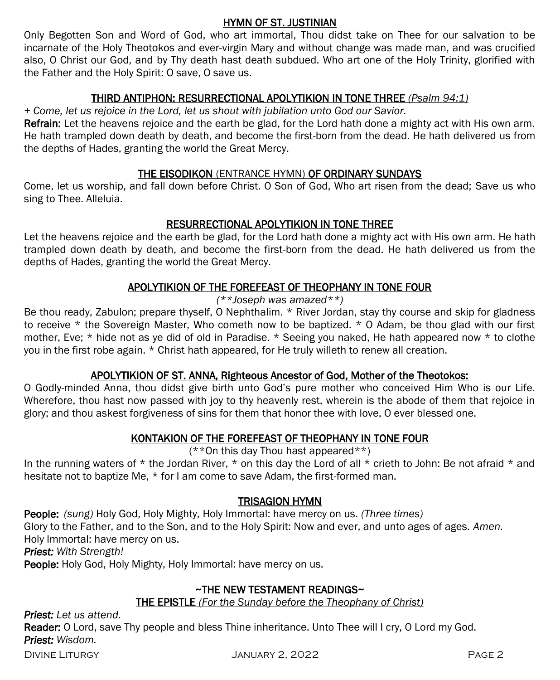### HYMN OF ST. JUSTINIAN

Only Begotten Son and Word of God, who art immortal, Thou didst take on Thee for our salvation to be incarnate of the Holy Theotokos and ever-virgin Mary and without change was made man, and was crucified also, O Christ our God, and by Thy death hast death subdued. Who art one of the Holy Trinity, glorified with the Father and the Holy Spirit: O save, O save us.

# THIRD ANTIPHON: RESURRECTIONAL APOLYTIKION IN TONE THREE *(Psalm 94:1)*

*+ Come, let us rejoice in the Lord, let us shout with jubilation unto God our Savior.* 

Refrain: Let the heavens rejoice and the earth be glad, for the Lord hath done a mighty act with His own arm. He hath trampled down death by death, and become the first-born from the dead. He hath delivered us from the depths of Hades, granting the world the Great Mercy.

### THE EISODIKON (ENTRANCE HYMN) OF ORDINARY SUNDAYS

Come, let us worship, and fall down before Christ. O Son of God, Who art risen from the dead; Save us who sing to Thee. Alleluia.

### RESURRECTIONAL APOLYTIKION IN TONE THREE

Let the heavens rejoice and the earth be glad, for the Lord hath done a mighty act with His own arm. He hath trampled down death by death, and become the first-born from the dead. He hath delivered us from the depths of Hades, granting the world the Great Mercy.

# APOLYTIKION OF THE FOREFEAST OF THEOPHANY IN TONE FOUR

*(\*\*Joseph was amazed\*\*)*

Be thou ready, Zabulon; prepare thyself, O Nephthalim. \* River Jordan, stay thy course and skip for gladness to receive \* the Sovereign Master, Who cometh now to be baptized. \* O Adam, be thou glad with our first mother, Eve; \* hide not as ye did of old in Paradise. \* Seeing you naked, He hath appeared now \* to clothe you in the first robe again. \* Christ hath appeared, for He truly willeth to renew all creation.

# APOLYTIKION OF ST. ANNA, Righteous Ancestor of God, Mother of the Theotokos:

O Godly-minded Anna, thou didst give birth unto God's pure mother who conceived Him Who is our Life. Wherefore, thou hast now passed with joy to thy heavenly rest, wherein is the abode of them that rejoice in glory; and thou askest forgiveness of sins for them that honor thee with love, O ever blessed one.

# KONTAKION OF THE FOREFEAST OF THEOPHANY IN TONE FOUR

#### (\*\*On this day Thou hast appeared\*\*)

In the running waters of  $*$  the Jordan River,  $*$  on this day the Lord of all  $*$  crieth to John: Be not afraid  $*$  and hesitate not to baptize Me, \* for I am come to save Adam, the first-formed man.

#### TRISAGION HYMN

People: *(sung)* Holy God, Holy Mighty, Holy Immortal: have mercy on us. *(Three times)*  Glory to the Father, and to the Son, and to the Holy Spirit: Now and ever, and unto ages of ages. *Amen.*  Holy Immortal: have mercy on us.

*Priest: With Strength!*

People: Holy God, Holy Mighty, Holy Immortal: have mercy on us.

# ~THE NEW TESTAMENT READINGS~

#### THE EPISTLE *(For the Sunday before the Theophany of Christ)*

*Priest: Let us attend.*

Reader: O Lord, save Thy people and bless Thine inheritance. Unto Thee will I cry, O Lord my God. *Priest: Wisdom.*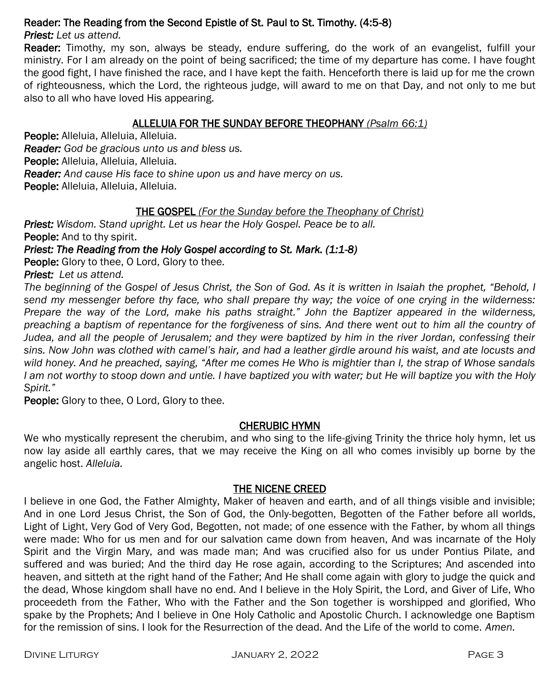### Reader: The Reading from the Second Epistle of St. Paul to St. Timothy. (4:5-8)

*Priest: Let us attend.*

Reader: Timothy, my son, always be steady, endure suffering, do the work of an evangelist, fulfill your ministry. For I am already on the point of being sacrificed; the time of my departure has come. I have fought the good fight, I have finished the race, and I have kept the faith. Henceforth there is laid up for me the crown of righteousness, which the Lord, the righteous judge, will award to me on that Day, and not only to me but also to all who have loved His appearing.

### ALLELUIA FOR THE SUNDAY BEFORE THEOPHANY *(Psalm 66:1)*

People: Alleluia, Alleluia, Alleluia. *Reader: God be gracious unto us and bless us.* People: Alleluia, Alleluia, Alleluia. *Reader: And cause His face to shine upon us and have mercy on us.* People: Alleluia, Alleluia, Alleluia.

### THE GOSPEL *(For the Sunday before the Theophany of Christ)*

*Priest: Wisdom. Stand upright. Let us hear the Holy Gospel. Peace be to all.* People: And to thy spirit.

#### *Priest: The Reading from the Holy Gospel according to St. Mark. (1:1-8)*

People: Glory to thee, O Lord, Glory to thee.

*Priest: Let us attend.* 

*The beginning of the Gospel of Jesus Christ, the Son of God. As it is written in Isaiah the prophet, "Behold, I send my messenger before thy face, who shall prepare thy way; the voice of one crying in the wilderness: Prepare the way of the Lord, make his paths straight." John the Baptizer appeared in the wilderness, preaching a baptism of repentance for the forgiveness of sins. And there went out to him all the country of Judea, and all the people of Jerusalem; and they were baptized by him in the river Jordan, confessing their sins. Now John was clothed with camel's hair, and had a leather girdle around his waist, and ate locusts and wild honey. And he preached, saying, "After me comes He Who is mightier than I, the strap of Whose sandals I am not worthy to stoop down and untie. I have baptized you with water; but He will baptize you with the Holy Spirit."*

**People:** Glory to thee, O Lord, Glory to thee.

#### CHERUBIC HYMN

We who mystically represent the cherubim, and who sing to the life-giving Trinity the thrice holy hymn, let us now lay aside all earthly cares, that we may receive the King on all who comes invisibly up borne by the angelic host. *Alleluia.*

#### THE NICENE CREED

I believe in one God, the Father Almighty, Maker of heaven and earth, and of all things visible and invisible; And in one Lord Jesus Christ, the Son of God, the Only-begotten, Begotten of the Father before all worlds, Light of Light, Very God of Very God, Begotten, not made; of one essence with the Father, by whom all things were made: Who for us men and for our salvation came down from heaven, And was incarnate of the Holy Spirit and the Virgin Mary, and was made man; And was crucified also for us under Pontius Pilate, and suffered and was buried; And the third day He rose again, according to the Scriptures; And ascended into heaven, and sitteth at the right hand of the Father; And He shall come again with glory to judge the quick and the dead, Whose kingdom shall have no end. And I believe in the Holy Spirit, the Lord, and Giver of Life, Who proceedeth from the Father, Who with the Father and the Son together is worshipped and glorified, Who spake by the Prophets; And I believe in One Holy Catholic and Apostolic Church. I acknowledge one Baptism for the remission of sins. I look for the Resurrection of the dead. And the Life of the world to come. *Amen.*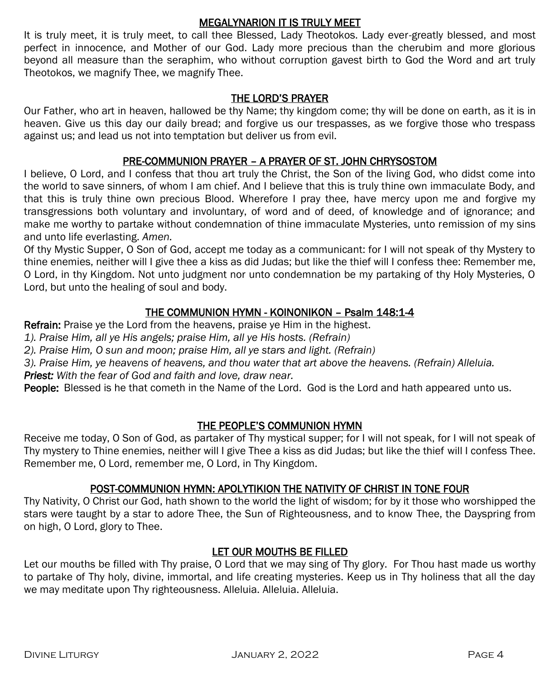#### MEGALYNARION IT IS TRULY MEET

It is truly meet, it is truly meet, to call thee Blessed, Lady Theotokos. Lady ever-greatly blessed, and most perfect in innocence, and Mother of our God. Lady more precious than the cherubim and more glorious beyond all measure than the seraphim, who without corruption gavest birth to God the Word and art truly Theotokos, we magnify Thee, we magnify Thee.

#### THE LORD'S PRAYER

Our Father, who art in heaven, hallowed be thy Name; thy kingdom come; thy will be done on earth, as it is in heaven. Give us this day our daily bread; and forgive us our trespasses, as we forgive those who trespass against us; and lead us not into temptation but deliver us from evil.

#### PRE-COMMUNION PRAYER – A PRAYER OF ST. JOHN CHRYSOSTOM

I believe, O Lord, and I confess that thou art truly the Christ, the Son of the living God, who didst come into the world to save sinners, of whom I am chief. And I believe that this is truly thine own immaculate Body, and that this is truly thine own precious Blood. Wherefore I pray thee, have mercy upon me and forgive my transgressions both voluntary and involuntary, of word and of deed, of knowledge and of ignorance; and make me worthy to partake without condemnation of thine immaculate Mysteries, unto remission of my sins and unto life everlasting. *Amen.*

Of thy Mystic Supper, O Son of God, accept me today as a communicant: for I will not speak of thy Mystery to thine enemies, neither will I give thee a kiss as did Judas; but like the thief will I confess thee: Remember me, O Lord, in thy Kingdom. Not unto judgment nor unto condemnation be my partaking of thy Holy Mysteries, O Lord, but unto the healing of soul and body.

### THE COMMUNION HYMN - KOINONIKON – Psalm 148:1-4

Refrain: Praise ye the Lord from the heavens, praise ye Him in the highest.

*1). Praise Him, all ye His angels; praise Him, all ye His hosts. (Refrain)*

*2). Praise Him, O sun and moon; praise Him, all ye stars and light. (Refrain)*

*3). Praise Him, ye heavens of heavens, and thou water that art above the heavens. (Refrain) Alleluia.* 

*Priest: With the fear of God and faith and love, draw near.*

People: Blessed is he that cometh in the Name of the Lord. God is the Lord and hath appeared unto us.

#### THE PEOPLE'S COMMUNION HYMN

Receive me today, O Son of God, as partaker of Thy mystical supper; for I will not speak, for I will not speak of Thy mystery to Thine enemies, neither will I give Thee a kiss as did Judas; but like the thief will I confess Thee. Remember me, O Lord, remember me, O Lord, in Thy Kingdom.

#### POST-COMMUNION HYMN: APOLYTIKION THE NATIVITY OF CHRIST IN TONE FOUR

Thy Nativity, O Christ our God, hath shown to the world the light of wisdom; for by it those who worshipped the stars were taught by a star to adore Thee, the Sun of Righteousness, and to know Thee, the Dayspring from on high, O Lord, glory to Thee.

# LET OUR MOUTHS BE FILLED

Let our mouths be filled with Thy praise, O Lord that we may sing of Thy glory. For Thou hast made us worthy to partake of Thy holy, divine, immortal, and life creating mysteries. Keep us in Thy holiness that all the day we may meditate upon Thy righteousness. Alleluia. Alleluia. Alleluia.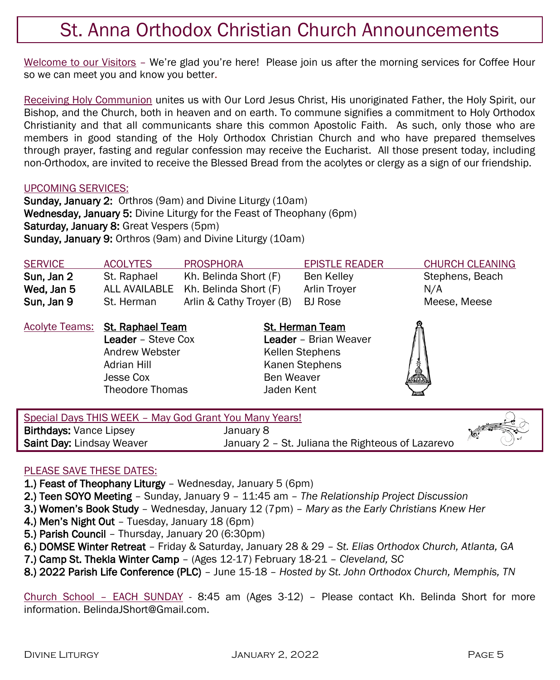# St. Anna Orthodox Christian Church Announcements

Welcome to our Visitors - We're glad you're here! Please join us after the morning services for Coffee Hour so we can meet you and know you better.

Receiving Holy Communion unites us with Our Lord Jesus Christ, His unoriginated Father, the Holy Spirit, our Bishop, and the Church, both in heaven and on earth. To commune signifies a commitment to Holy Orthodox Christianity and that all communicants share this common Apostolic Faith. As such, only those who are members in good standing of the Holy Orthodox Christian Church and who have prepared themselves through prayer, fasting and regular confession may receive the Eucharist. All those present today, including non-Orthodox, are invited to receive the Blessed Bread from the acolytes or clergy as a sign of our friendship.

#### UPCOMING SERVICES:

Sunday, January 2:Orthros (9am) and Divine Liturgy (10am) Wednesday, January 5: Divine Liturgy for the Feast of Theophany (6pm) Saturday, January 8: Great Vespers (5pm) Sunday, January 9: Orthros (9am) and Divine Liturgy (10am)

| <b>SERVICE</b> | <b>ACOLYTES</b>                                                                       | <b>PROSPHORA</b>                    | <b>EPISTLE READER</b>                                              | <b>CHURCH CLEANING</b> |
|----------------|---------------------------------------------------------------------------------------|-------------------------------------|--------------------------------------------------------------------|------------------------|
| Sun, Jan 2     | St. Raphael                                                                           | Kh. Belinda Short (F)               | Ben Kelley                                                         | Stephens, Beach        |
| Wed, Jan 5     |                                                                                       | ALL AVAILABLE Kh. Belinda Short (F) | Arlin Troyer                                                       | N/A                    |
| Sun, Jan 9     | St. Herman                                                                            | Arlin & Cathy Troyer (B)            | <b>BJ</b> Rose                                                     | Meese, Meese           |
|                | <b>Acolyte Teams: St. Raphael Team</b><br><b>Leader</b> - Steve Cox<br>Andrew Webster |                                     | <b>St. Herman Team</b><br>Leader - Brian Weaver<br>Kellen Stephens |                        |
|                | Adrian Hill<br>Jesse Cox                                                              |                                     | Kanen Stephens<br>Ben Weaver                                       | é.                     |

| Special Days THIS WEEK - May God Grant You Many Years! |                                                   |  |
|--------------------------------------------------------|---------------------------------------------------|--|
| <b>Birthdays: Vance Lipsey</b>                         | January 8                                         |  |
| <b>Saint Day: Lindsay Weaver</b>                       | January 2 - St. Juliana the Righteous of Lazarevo |  |

#### PLEASE SAVE THESE DATES:

- 1.) Feast of Theophany Liturgy Wednesday, January 5 (6pm)
- 2.) Teen SOYO Meeting Sunday, January 9 11:45 am *The Relationship Project Discussion*
- 3.) Women's Book Study Wednesday, January 12 (7pm) *Mary as the Early Christians Knew Her*
- 4.) Men's Night Out Tuesday, January 18 (6pm)
- 5.) Parish Council Thursday, January 20 (6:30pm)
- 6.) DOMSE Winter Retreat Friday & Saturday, January 28 & 29 *St. Elias Orthodox Church, Atlanta, GA*
- 7.) Camp St. Thekla Winter Camp (Ages 12-17) February 18-21 *Cleveland, SC*

Theodore Thomas Jaden Kent

8.) 2022 Parish Life Conference (PLC) – June 15-18 – *Hosted by St. John Orthodox Church, Memphis, TN*

Church School – EACH SUNDAY - 8:45 am (Ages 3-12) – Please contact Kh. Belinda Short for more information. Belinda *IShort@Gmail.com.*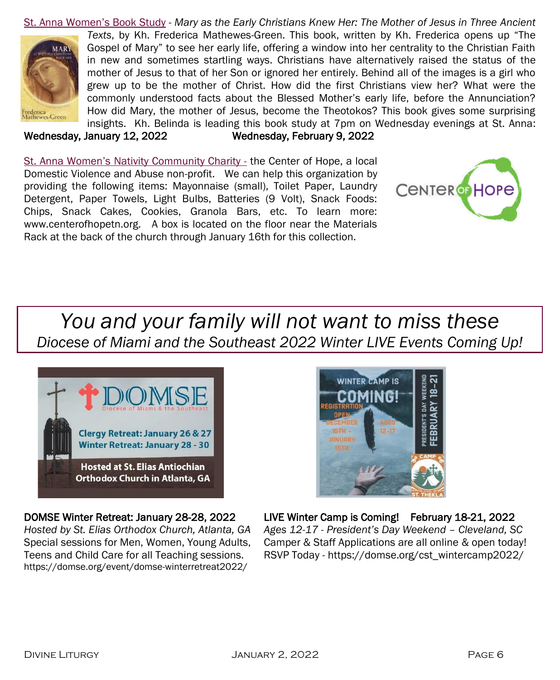St. Anna Women's Book Study - *Mary as the Early Christians Knew Her: The Mother of Jesus in Three Ancient Texts*, by Kh. Frederica Mathewes-Green. This book, written by Kh. Frederica opens up "The Gospel of Mary" to see her early life, offering a window into her centrality to the Christian Faith MARY in new and sometimes startling ways. Christians have alternatively raised the status of the mother of Jesus to that of her Son or ignored her entirely. Behind all of the images is a girl who grew up to be the mother of Christ. How did the first Christians view her? What were the commonly understood facts about the Blessed Mother's early life, before the Annunciation? How did Mary, the mother of Jesus, become the Theotokos? This book gives some surprising rederica<br>Mathewes-Green insights. Kh. Belinda is leading this book study at 7pm on Wednesday evenings at St. Anna:

Wednesday, January 12, 2022 Wednesday, February 9, 2022

St. Anna Women's Nativity Community Charity - the Center of Hope, a local Domestic Violence and Abuse non-profit. We can help this organization by providing the following items: Mayonnaise (small), Toilet Paper, Laundry Detergent, Paper Towels, Light Bulbs, Batteries (9 Volt), Snack Foods: Chips, Snack Cakes, Cookies, Granola Bars, etc. To learn more: www.centerofhopetn.org. A box is located on the floor near the Materials Rack at the back of the church through January 16th for this collection.



# *You and your family will not want to miss these Diocese of Miami and the Southeast 2022 Winter LIVE Events Coming Up!*



*Hosted by St. Elias Orthodox Church, Atlanta, GA Ages 12-17 - President's Day Weekend – Cleveland, SC* https://domse.org/event/domse-winterretreat2022/



# DOMSE Winter Retreat: January 28-28, 2022 LIVE Winter Camp is Coming! February 18-21, 2022

Special sessions for Men, Women, Young Adults, Camper & Staff Applications are all online & open today! Teens and Child Care for all Teaching sessions. RSVP Today - https://domse.org/cst\_wintercamp2022/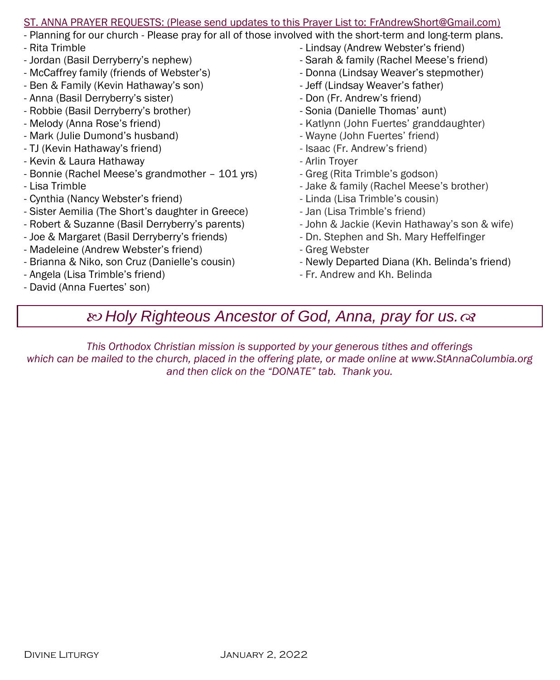#### ST. ANNA PRAYER REQUESTS: (Please send updates to this Prayer List to: FrAndrewShort@Gmail.com)

- Planning for our church Please pray for all of those involved with the short-term and long-term plans.
- Rita Trimble
- Jordan (Basil Derryberry's nephew)
- McCaffrey family (friends of Webster's)
- Ben & Family (Kevin Hathaway's son)
- Anna (Basil Derryberry's sister)
- Robbie (Basil Derryberry's brother)
- Melody (Anna Rose's friend)
- Mark (Julie Dumond's husband)
- TJ (Kevin Hathaway's friend)
- Kevin & Laura Hathaway
- Bonnie (Rachel Meese's grandmother 101 yrs)
- Lisa Trimble
- Cynthia (Nancy Webster's friend)
- Sister Aemilia (The Short's daughter in Greece)
- Robert & Suzanne (Basil Derryberry's parents)
- Joe & Margaret (Basil Derryberry's friends)
- Madeleine (Andrew Webster's friend)
- Brianna & Niko, son Cruz (Danielle's cousin)
- Angela (Lisa Trimble's friend)
- David (Anna Fuertes' son)
- Lindsay (Andrew Webster's friend)
- Sarah & family (Rachel Meese's friend)
- Donna (Lindsay Weaver's stepmother)
- Jeff (Lindsay Weaver's father)
- Don (Fr. Andrew's friend)
- Sonia (Danielle Thomas' aunt)
- Katlynn (John Fuertes' granddaughter)
- Wayne (John Fuertes' friend)
- Isaac (Fr. Andrew's friend)
- Arlin Troyer
- Greg (Rita Trimble's godson)
- Jake & family (Rachel Meese's brother)
- Linda (Lisa Trimble's cousin)
- Jan (Lisa Trimble's friend)
- John & Jackie (Kevin Hathaway's son & wife)
- Dn. Stephen and Sh. Mary Heffelfinger
- Greg Webster
- Newly Departed Diana (Kh. Belinda's friend)
- Fr. Andrew and Kh. Belinda

# *Holy Righteous Ancestor of God, Anna, pray for us.*

*This Orthodox Christian mission is supported by your generous tithes and offerings which can be mailed to the church, placed in the offering plate, or made online at www.StAnnaColumbia.org and then click on the "DONATE" tab. Thank you.*